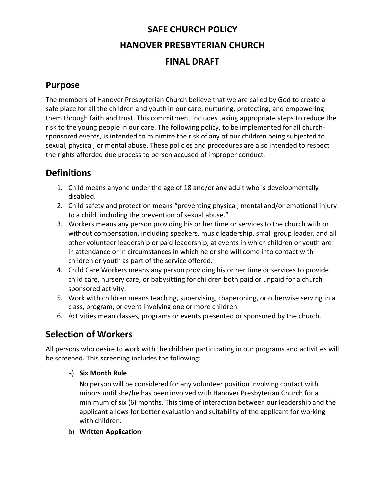# **SAFE CHURCH POLICY HANOVER PRESBYTERIAN CHURCH FINAL DRAFT**

## **Purpose**

The members of Hanover Presbyterian Church believe that we are called by God to create a safe place for all the children and youth in our care, nurturing, protecting, and empowering them through faith and trust. This commitment includes taking appropriate steps to reduce the risk to the young people in our care. The following policy, to be implemented for all churchsponsored events, is intended to minimize the risk of any of our children being subjected to sexual, physical, or mental abuse. These policies and procedures are also intended to respect the rights afforded due process to person accused of improper conduct.

## **Definitions**

- 1. Child means anyone under the age of 18 and/or any adult who is developmentally disabled.
- 2. Child safety and protection means "preventing physical, mental and/or emotional injury to a child, including the prevention of sexual abuse."
- 3. Workers means any person providing his or her time or services to the church with or without compensation, including speakers, music leadership, small group leader, and all other volunteer leadership or paid leadership, at events in which children or youth are in attendance or in circumstances in which he or she will come into contact with children or youth as part of the service offered.
- 4. Child Care Workers means any person providing his or her time or services to provide child care, nursery care, or babysitting for children both paid or unpaid for a church sponsored activity.
- 5. Work with children means teaching, supervising, chaperoning, or otherwise serving in a class, program, or event involving one or more children.
- 6. Activities mean classes, programs or events presented or sponsored by the church.

## **Selection of Workers**

All persons who desire to work with the children participating in our programs and activities will be screened. This screening includes the following:

a) **Six Month Rule**

No person will be considered for any volunteer position involving contact with minors until she/he has been involved with Hanover Presbyterian Church for a minimum of six (6) months. This time of interaction between our leadership and the applicant allows for better evaluation and suitability of the applicant for working with children.

b) **Written Application**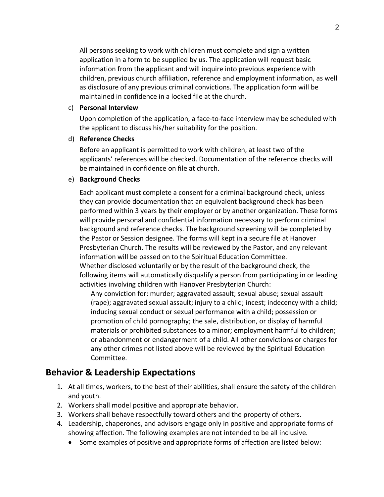All persons seeking to work with children must complete and sign a written application in a form to be supplied by us. The application will request basic information from the applicant and will inquire into previous experience with children, previous church affiliation, reference and employment information, as well as disclosure of any previous criminal convictions. The application form will be maintained in confidence in a locked file at the church.

#### c) **Personal Interview**

Upon completion of the application, a face-to-face interview may be scheduled with the applicant to discuss his/her suitability for the position.

#### d) **Reference Checks**

Before an applicant is permitted to work with children, at least two of the applicants' references will be checked. Documentation of the reference checks will be maintained in confidence on file at church.

#### e) **Background Checks**

Each applicant must complete a consent for a criminal background check, unless they can provide documentation that an equivalent background check has been performed within 3 years by their employer or by another organization. These forms will provide personal and confidential information necessary to perform criminal background and reference checks. The background screening will be completed by the Pastor or Session designee. The forms will kept in a secure file at Hanover Presbyterian Church. The results will be reviewed by the Pastor, and any relevant information will be passed on to the Spiritual Education Committee. Whether disclosed voluntarily or by the result of the background check, the following items will automatically disqualify a person from participating in or leading activities involving children with Hanover Presbyterian Church:

Any conviction for: murder; aggravated assault; sexual abuse; sexual assault (rape); aggravated sexual assault; injury to a child; incest; indecency with a child; inducing sexual conduct or sexual performance with a child; possession or promotion of child pornography; the sale, distribution, or display of harmful materials or prohibited substances to a minor; employment harmful to children; or abandonment or endangerment of a child. All other convictions or charges for any other crimes not listed above will be reviewed by the Spiritual Education Committee.

#### **Behavior & Leadership Expectations**

- 1. At all times, workers, to the best of their abilities, shall ensure the safety of the children and youth.
- 2. Workers shall model positive and appropriate behavior.
- 3. Workers shall behave respectfully toward others and the property of others.
- 4. Leadership, chaperones, and advisors engage only in positive and appropriate forms of showing affection. The following examples are not intended to be all inclusive.
	- Some examples of positive and appropriate forms of affection are listed below: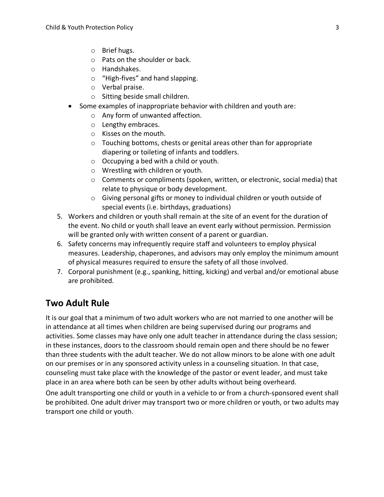- o Brief hugs.
- o Pats on the shoulder or back.
- o Handshakes.
- o "High-fives" and hand slapping.
- o Verbal praise.
- o Sitting beside small children.
- Some examples of inappropriate behavior with children and youth are:
	- o Any form of unwanted affection.
	- o Lengthy embraces.
	- o Kisses on the mouth.
	- o Touching bottoms, chests or genital areas other than for appropriate diapering or toileting of infants and toddlers.
	- $\circ$  Occupying a bed with a child or youth.
	- o Wrestling with children or youth.
	- $\circ$  Comments or compliments (spoken, written, or electronic, social media) that relate to physique or body development.
	- o Giving personal gifts or money to individual children or youth outside of special events (i.e. birthdays, graduations)
- 5. Workers and children or youth shall remain at the site of an event for the duration of the event. No child or youth shall leave an event early without permission. Permission will be granted only with written consent of a parent or guardian.
- 6. Safety concerns may infrequently require staff and volunteers to employ physical measures. Leadership, chaperones, and advisors may only employ the minimum amount of physical measures required to ensure the safety of all those involved.
- 7. Corporal punishment (e.g., spanking, hitting, kicking) and verbal and/or emotional abuse are prohibited.

#### **Two Adult Rule**

It is our goal that a minimum of two adult workers who are not married to one another will be in attendance at all times when children are being supervised during our programs and activities. Some classes may have only one adult teacher in attendance during the class session; in these instances, doors to the classroom should remain open and there should be no fewer than three students with the adult teacher. We do not allow minors to be alone with one adult on our premises or in any sponsored activity unless in a counseling situation. In that case, counseling must take place with the knowledge of the pastor or event leader, and must take place in an area where both can be seen by other adults without being overheard.

One adult transporting one child or youth in a vehicle to or from a church-sponsored event shall be prohibited. One adult driver may transport two or more children or youth, or two adults may transport one child or youth.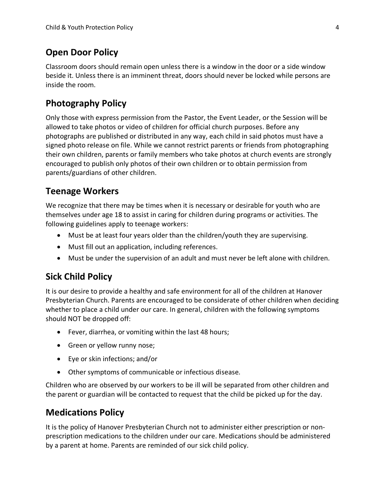### **Open Door Policy**

Classroom doors should remain open unless there is a window in the door or a side window beside it. Unless there is an imminent threat, doors should never be locked while persons are inside the room.

### **Photography Policy**

Only those with express permission from the Pastor, the Event Leader, or the Session will be allowed to take photos or video of children for official church purposes. Before any photographs are published or distributed in any way, each child in said photos must have a signed photo release on file. While we cannot restrict parents or friends from photographing their own children, parents or family members who take photos at church events are strongly encouraged to publish only photos of their own children or to obtain permission from parents/guardians of other children.

#### **Teenage Workers**

We recognize that there may be times when it is necessary or desirable for youth who are themselves under age 18 to assist in caring for children during programs or activities. The following guidelines apply to teenage workers:

- Must be at least four years older than the children/youth they are supervising.
- Must fill out an application, including references.
- Must be under the supervision of an adult and must never be left alone with children.

#### **Sick Child Policy**

It is our desire to provide a healthy and safe environment for all of the children at Hanover Presbyterian Church. Parents are encouraged to be considerate of other children when deciding whether to place a child under our care. In general, children with the following symptoms should NOT be dropped off:

- Fever, diarrhea, or vomiting within the last 48 hours;
- Green or yellow runny nose;
- Eye or skin infections; and/or
- Other symptoms of communicable or infectious disease.

Children who are observed by our workers to be ill will be separated from other children and the parent or guardian will be contacted to request that the child be picked up for the day.

#### **Medications Policy**

It is the policy of Hanover Presbyterian Church not to administer either prescription or nonprescription medications to the children under our care. Medications should be administered by a parent at home. Parents are reminded of our sick child policy.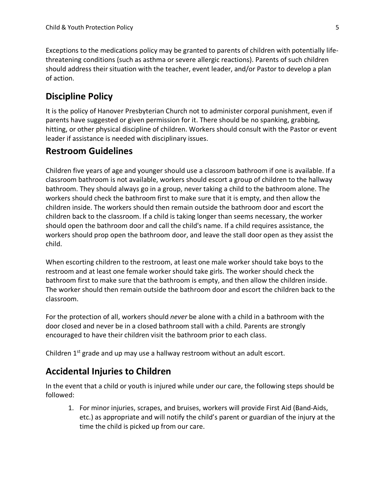Exceptions to the medications policy may be granted to parents of children with potentially lifethreatening conditions (such as asthma or severe allergic reactions). Parents of such children should address their situation with the teacher, event leader, and/or Pastor to develop a plan of action.

### **Discipline Policy**

It is the policy of Hanover Presbyterian Church not to administer corporal punishment, even if parents have suggested or given permission for it. There should be no spanking, grabbing, hitting, or other physical discipline of children. Workers should consult with the Pastor or event leader if assistance is needed with disciplinary issues.

### **Restroom Guidelines**

Children five years of age and younger should use a classroom bathroom if one is available. If a classroom bathroom is not available, workers should escort a group of children to the hallway bathroom. They should always go in a group, never taking a child to the bathroom alone. The workers should check the bathroom first to make sure that it is empty, and then allow the children inside. The workers should then remain outside the bathroom door and escort the children back to the classroom. If a child is taking longer than seems necessary, the worker should open the bathroom door and call the child's name. If a child requires assistance, the workers should prop open the bathroom door, and leave the stall door open as they assist the child.

When escorting children to the restroom, at least one male worker should take boys to the restroom and at least one female worker should take girls. The worker should check the bathroom first to make sure that the bathroom is empty, and then allow the children inside. The worker should then remain outside the bathroom door and escort the children back to the classroom.

For the protection of all, workers should *never* be alone with a child in a bathroom with the door closed and never be in a closed bathroom stall with a child. Parents are strongly encouraged to have their children visit the bathroom prior to each class.

Children 1<sup>st</sup> grade and up may use a hallway restroom without an adult escort.

## **Accidental Injuries to Children**

In the event that a child or youth is injured while under our care, the following steps should be followed:

1. For minor injuries, scrapes, and bruises, workers will provide First Aid (Band-Aids, etc.) as appropriate and will notify the child's parent or guardian of the injury at the time the child is picked up from our care.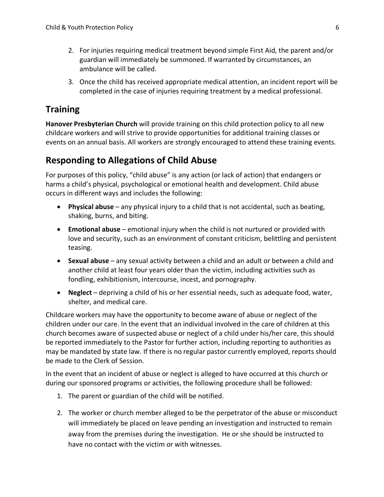- 2. For injuries requiring medical treatment beyond simple First Aid, the parent and/or guardian will immediately be summoned. If warranted by circumstances, an ambulance will be called.
- 3. Once the child has received appropriate medical attention, an incident report will be completed in the case of injuries requiring treatment by a medical professional.

### **Training**

**Hanover Presbyterian Church** will provide training on this child protection policy to all new childcare workers and will strive to provide opportunities for additional training classes or events on an annual basis. All workers are strongly encouraged to attend these training events.

#### **Responding to Allegations of Child Abuse**

For purposes of this policy, "child abuse" is any action (or lack of action) that endangers or harms a child's physical, psychological or emotional health and development. Child abuse occurs in different ways and includes the following:

- **Physical abuse** any physical injury to a child that is not accidental, such as beating, shaking, burns, and biting.
- **Emotional abuse** emotional injury when the child is not nurtured or provided with love and security, such as an environment of constant criticism, belittling and persistent teasing.
- **Sexual abuse** any sexual activity between a child and an adult or between a child and another child at least four years older than the victim, including activities such as fondling, exhibitionism, intercourse, incest, and pornography.
- **Neglect** depriving a child of his or her essential needs, such as adequate food, water, shelter, and medical care.

Childcare workers may have the opportunity to become aware of abuse or neglect of the children under our care. In the event that an individual involved in the care of children at this church becomes aware of suspected abuse or neglect of a child under his/her care, this should be reported immediately to the Pastor for further action, including reporting to authorities as may be mandated by state law. If there is no regular pastor currently employed, reports should be made to the Clerk of Session.

In the event that an incident of abuse or neglect is alleged to have occurred at this church or during our sponsored programs or activities, the following procedure shall be followed:

- 1. The parent or guardian of the child will be notified.
- 2. The worker or church member alleged to be the perpetrator of the abuse or misconduct will immediately be placed on leave pending an investigation and instructed to remain away from the premises during the investigation. He or she should be instructed to have no contact with the victim or with witnesses.